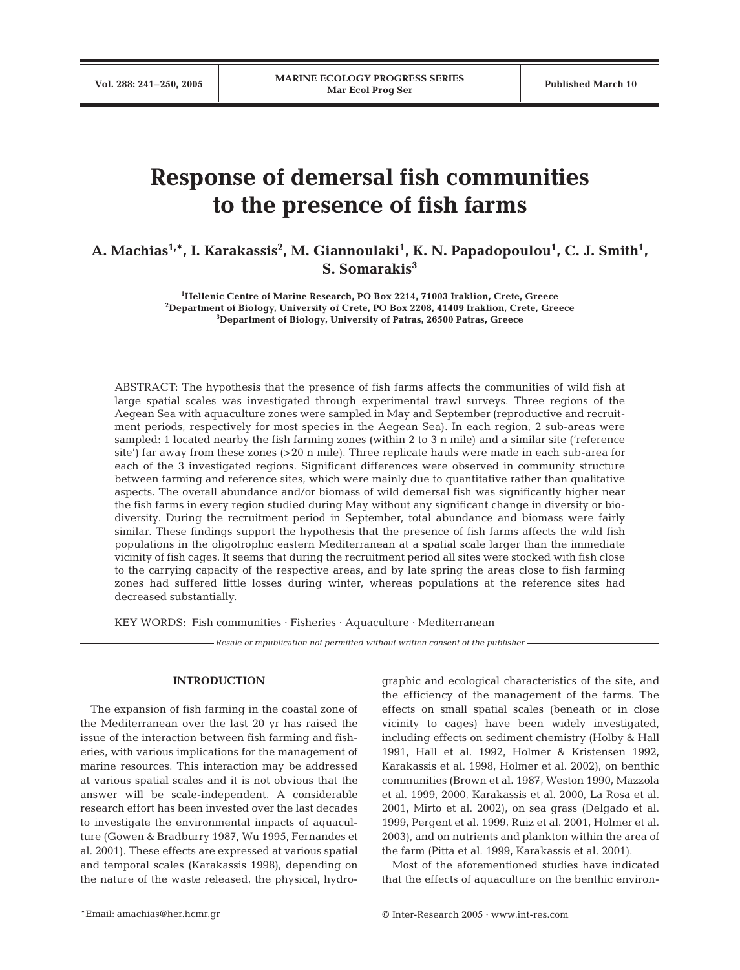# **Response of demersal fish communities to the presence of fish farms**

A. Machias<sup>1,</sup>\*, I. Karakassis<sup>2</sup>, M. Giannoulaki<sup>1</sup>, K. N. Papadopoulou<sup>1</sup>, C. J. Smith<sup>1</sup>, **S. Somarakis3**

> **1 Hellenic Centre of Marine Research, PO Box 2214, 71003 Iraklion, Crete, Greece 2 Department of Biology, University of Crete, PO Box 2208, 41409 Iraklion, Crete, Greece 3 Department of Biology, University of Patras, 26500 Patras, Greece**

ABSTRACT: The hypothesis that the presence of fish farms affects the communities of wild fish at large spatial scales was investigated through experimental trawl surveys. Three regions of the Aegean Sea with aquaculture zones were sampled in May and September (reproductive and recruitment periods, respectively for most species in the Aegean Sea). In each region, 2 sub-areas were sampled: 1 located nearby the fish farming zones (within 2 to 3 n mile) and a similar site ('reference site') far away from these zones (>20 n mile). Three replicate hauls were made in each sub-area for each of the 3 investigated regions. Significant differences were observed in community structure between farming and reference sites, which were mainly due to quantitative rather than qualitative aspects. The overall abundance and/or biomass of wild demersal fish was significantly higher near the fish farms in every region studied during May without any significant change in diversity or biodiversity. During the recruitment period in September, total abundance and biomass were fairly similar. These findings support the hypothesis that the presence of fish farms affects the wild fish populations in the oligotrophic eastern Mediterranean at a spatial scale larger than the immediate vicinity of fish cages. It seems that during the recruitment period all sites were stocked with fish close to the carrying capacity of the respective areas, and by late spring the areas close to fish farming zones had suffered little losses during winter, whereas populations at the reference sites had decreased substantially.

KEY WORDS: Fish communities · Fisheries · Aquaculture · Mediterranean

*Resale or republication not permitted without written consent of the publisher*

### **INTRODUCTION**

The expansion of fish farming in the coastal zone of the Mediterranean over the last 20 yr has raised the issue of the interaction between fish farming and fisheries, with various implications for the management of marine resources. This interaction may be addressed at various spatial scales and it is not obvious that the answer will be scale-independent. A considerable research effort has been invested over the last decades to investigate the environmental impacts of aquaculture (Gowen & Bradburry 1987, Wu 1995, Fernandes et al. 2001). These effects are expressed at various spatial and temporal scales (Karakassis 1998), depending on the nature of the waste released, the physical, hydrographic and ecological characteristics of the site, and the efficiency of the management of the farms. The effects on small spatial scales (beneath or in close vicinity to cages) have been widely investigated, including effects on sediment chemistry (Holby & Hall 1991, Hall et al. 1992, Holmer & Kristensen 1992, Karakassis et al. 1998, Holmer et al. 2002), on benthic communities (Brown et al. 1987, Weston 1990, Mazzola et al. 1999, 2000, Karakassis et al. 2000, La Rosa et al. 2001, Mirto et al. 2002), on sea grass (Delgado et al. 1999, Pergent et al. 1999, Ruiz et al. 2001, Holmer et al. 2003), and on nutrients and plankton within the area of the farm (Pitta et al. 1999, Karakassis et al. 2001).

Most of the aforementioned studies have indicated that the effects of aquaculture on the benthic environ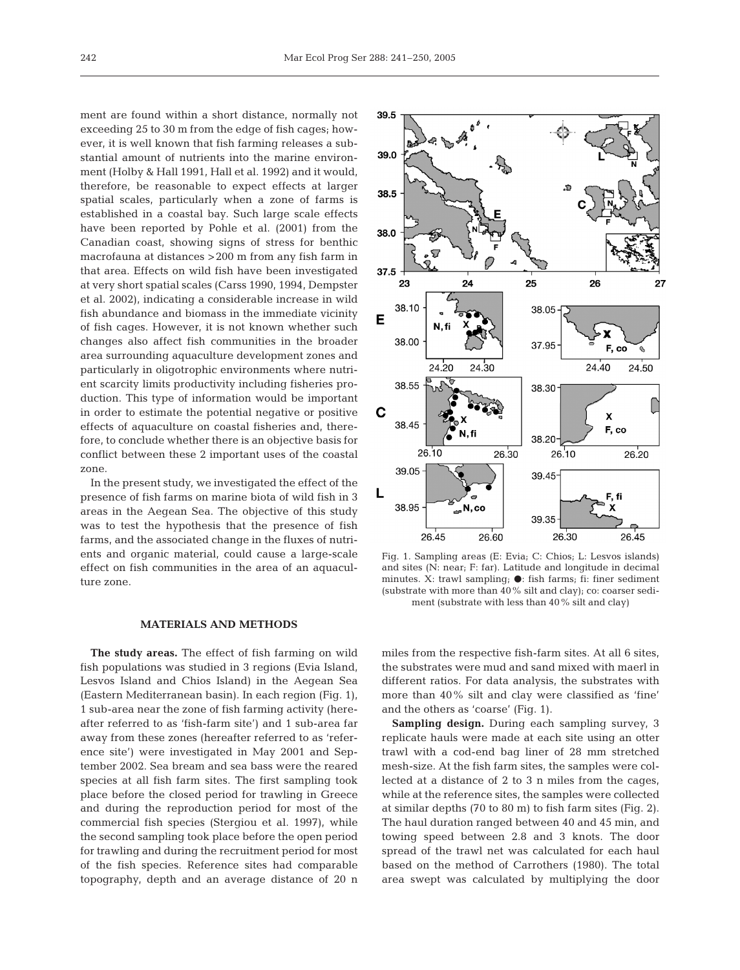ment are found within a short distance, normally not exceeding 25 to 30 m from the edge of fish cages; however, it is well known that fish farming releases a substantial amount of nutrients into the marine environment (Holby & Hall 1991, Hall et al. 1992) and it would, therefore, be reasonable to expect effects at larger spatial scales, particularly when a zone of farms is established in a coastal bay. Such large scale effects have been reported by Pohle et al. (2001) from the Canadian coast, showing signs of stress for benthic macrofauna at distances >200 m from any fish farm in that area. Effects on wild fish have been investigated at very short spatial scales (Carss 1990, 1994, Dempster et al. 2002), indicating a considerable increase in wild fish abundance and biomass in the immediate vicinity of fish cages. However, it is not known whether such changes also affect fish communities in the broader area surrounding aquaculture development zones and particularly in oligotrophic environments where nutrient scarcity limits productivity including fisheries production. This type of information would be important in order to estimate the potential negative or positive effects of aquaculture on coastal fisheries and, therefore, to conclude whether there is an objective basis for conflict between these 2 important uses of the coastal zone.

In the present study, we investigated the effect of the presence of fish farms on marine biota of wild fish in 3 areas in the Aegean Sea. The objective of this study was to test the hypothesis that the presence of fish farms, and the associated change in the fluxes of nutrients and organic material, could cause a large-scale effect on fish communities in the area of an aquaculture zone.

## **MATERIALS AND METHODS**

**The study areas.** The effect of fish farming on wild fish populations was studied in 3 regions (Evia Island, Lesvos Island and Chios Island) in the Aegean Sea (Eastern Mediterranean basin). In each region (Fig. 1), 1 sub-area near the zone of fish farming activity (hereafter referred to as 'fish-farm site') and 1 sub-area far away from these zones (hereafter referred to as 'reference site') were investigated in May 2001 and September 2002. Sea bream and sea bass were the reared species at all fish farm sites. The first sampling took place before the closed period for trawling in Greece and during the reproduction period for most of the commercial fish species (Stergiou et al. 1997), while the second sampling took place before the open period for trawling and during the recruitment period for most of the fish species. Reference sites had comparable topography, depth and an average distance of 20 n



Fig. 1. Sampling areas (E: Evia; C: Chios; L: Lesvos islands) and sites (N: near; F: far). Latitude and longitude in decimal minutes. X: trawl sampling;  $\bullet$ : fish farms; fi: finer sediment (substrate with more than 40% silt and clay); co: coarser sediment (substrate with less than 40% silt and clay)

miles from the respective fish-farm sites. At all 6 sites, the substrates were mud and sand mixed with maerl in different ratios. For data analysis, the substrates with more than 40% silt and clay were classified as 'fine' and the others as 'coarse' (Fig. 1).

**Sampling design.** During each sampling survey, 3 replicate hauls were made at each site using an otter trawl with a cod-end bag liner of 28 mm stretched mesh-size. At the fish farm sites, the samples were collected at a distance of 2 to 3 n miles from the cages, while at the reference sites, the samples were collected at similar depths (70 to 80 m) to fish farm sites (Fig. 2). The haul duration ranged between 40 and 45 min, and towing speed between 2.8 and 3 knots. The door spread of the trawl net was calculated for each haul based on the method of Carrothers (1980). The total area swept was calculated by multiplying the door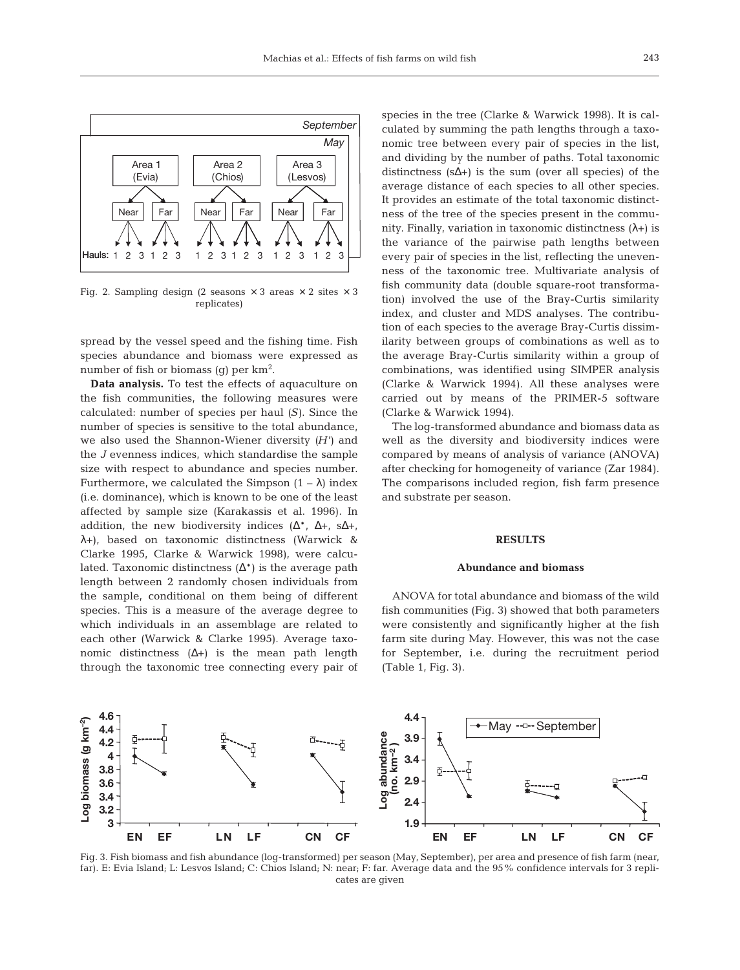

Fig. 2. Sampling design (2 seasons  $\times$  3 areas  $\times$  2 sites  $\times$  3 replicates)

spread by the vessel speed and the fishing time. Fish species abundance and biomass were expressed as number of fish or biomass (g) per  $km^2$ .

**Data analysis.** To test the effects of aquaculture on the fish communities, the following measures were calculated: number of species per haul *(S)*. Since the number of species is sensitive to the total abundance, we also used the Shannon-Wiener diversity *(H')* and the *J* evenness indices, which standardise the sample size with respect to abundance and species number. Furthermore, we calculated the Simpson  $(1 - \lambda)$  index (i.e. dominance), which is known to be one of the least affected by sample size (Karakassis et al. 1996). In addition, the new biodiversity indices  $(\Delta^*, \Delta^+, \Delta^+, \Delta^+),$ λ+), based on taxonomic distinctness (Warwick & Clarke 1995, Clarke & Warwick 1998), were calculated. Taxonomic distinctness (∆\*) is the average path length between 2 randomly chosen individuals from the sample, conditional on them being of different species. This is a measure of the average degree to which individuals in an assemblage are related to each other (Warwick & Clarke 1995). Average taxonomic distinctness  $(∆+)$  is the mean path length through the taxonomic tree connecting every pair of

species in the tree (Clarke & Warwick 1998). It is calculated by summing the path lengths through a taxonomic tree between every pair of species in the list, and dividing by the number of paths. Total taxonomic distinctness (s∆+) is the sum (over all species) of the average distance of each species to all other species. It provides an estimate of the total taxonomic distinctness of the tree of the species present in the community. Finally, variation in taxonomic distinctness  $(\lambda+)$  is the variance of the pairwise path lengths between every pair of species in the list, reflecting the unevenness of the taxonomic tree. Multivariate analysis of fish community data (double square-root transformation) involved the use of the Bray-Curtis similarity index, and cluster and MDS analyses. The contribution of each species to the average Bray-Curtis dissimilarity between groups of combinations as well as to the average Bray-Curtis similarity within a group of combinations, was identified using SIMPER analysis (Clarke & Warwick 1994). All these analyses were carried out by means of the PRIMER-5 software (Clarke & Warwick 1994).

The log-transformed abundance and biomass data as well as the diversity and biodiversity indices were compared by means of analysis of variance (ANOVA) after checking for homogeneity of variance (Zar 1984). The comparisons included region, fish farm presence and substrate per season.

#### **RESULTS**

#### **Abundance and biomass**

ANOVA for total abundance and biomass of the wild fish communities (Fig. 3) showed that both parameters were consistently and significantly higher at the fish farm site during May. However, this was not the case for September, i.e. during the recruitment period (Table 1, Fig. 3).



Fig. 3. Fish biomass and fish abundance (log-transformed) per season (May, September), per area and presence of fish farm (near, far). E: Evia Island; L: Lesvos Island; C: Chios Island; N: near; F: far. Average data and the 95% confidence intervals for 3 replicates are given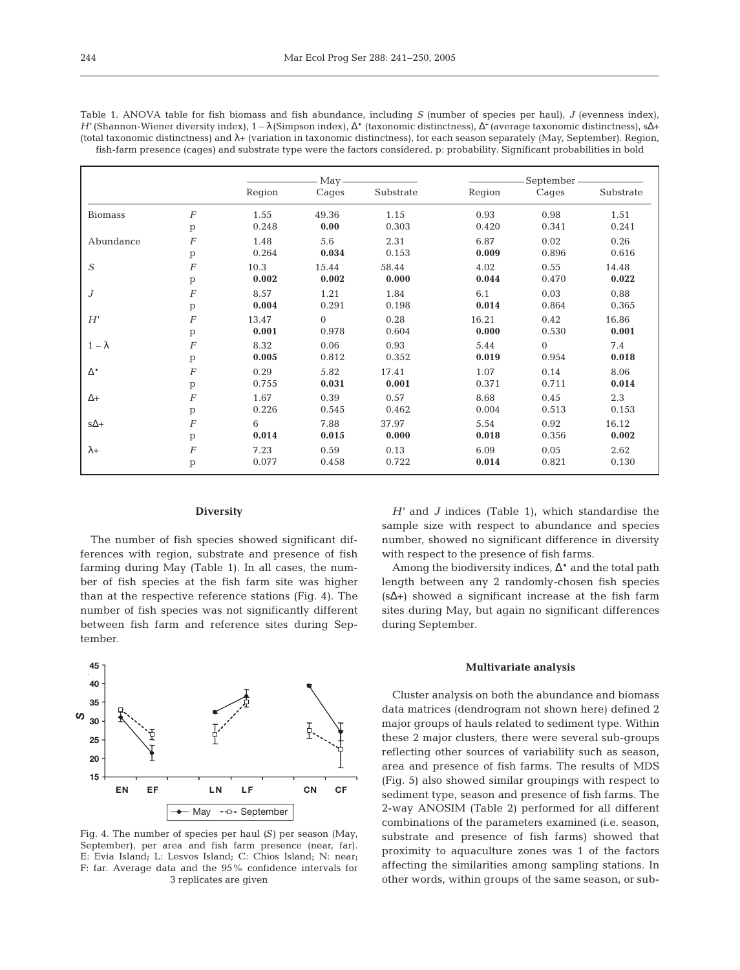|                  |                |        | $May -$  |           | September - |          |           |  |
|------------------|----------------|--------|----------|-----------|-------------|----------|-----------|--|
|                  |                | Region | Cages    | Substrate | Region      | Cages    | Substrate |  |
| <b>Biomass</b>   | $\overline{F}$ | 1.55   | 49.36    | 1.15      | 0.93        | 0.98     | 1.51      |  |
|                  | p              | 0.248  | 0.00     | 0.303     | 0.420       | 0.341    | 0.241     |  |
| Abundance        | $\cal F$       | 1.48   | 5.6      | 2.31      | 6.87        | 0.02     | 0.26      |  |
|                  | p              | 0.264  | 0.034    | 0.153     | 0.009       | 0.896    | 0.616     |  |
| $\boldsymbol{S}$ | $\overline{F}$ | 10.3   | 15.44    | 58.44     | 4.02        | 0.55     | 14.48     |  |
|                  | p              | 0.002  | 0.002    | 0.000     | 0.044       | 0.470    | 0.022     |  |
| $\boldsymbol{J}$ | $\cal F$       | 8.57   | 1.21     | 1.84      | 6.1         | 0.03     | 0.88      |  |
|                  | $\mathbf{p}$   | 0.004  | 0.291    | 0.198     | 0.014       | 0.864    | 0.365     |  |
| H'               | $\cal F$       | 13.47  | $\Omega$ | 0.28      | 16.21       | 0.42     | 16.86     |  |
|                  | $\mathbf{p}$   | 0.001  | 0.978    | 0.604     | 0.000       | 0.530    | 0.001     |  |
| $1-\lambda$      | $\overline{F}$ | 8.32   | 0.06     | 0.93      | 5.44        | $\Omega$ | 7.4       |  |
|                  | $\mathbf{p}$   | 0.005  | 0.812    | 0.352     | 0.019       | 0.954    | 0.018     |  |
| $\Delta^*$       | $\cal F$       | 0.29   | 5.82     | 17.41     | 1.07        | 0.14     | 8.06      |  |
|                  | $\mathbf{p}$   | 0.755  | 0.031    | 0.001     | 0.371       | 0.711    | 0.014     |  |
| $\Delta +$       | $\cal F$       | 1.67   | 0.39     | 0.57      | 8.68        | 0.45     | 2.3       |  |
|                  | p              | 0.226  | 0.545    | 0.462     | 0.004       | 0.513    | 0.153     |  |
| $s\Delta +$      | $\overline{F}$ | 6      | 7.88     | 37.97     | 5.54        | 0.92     | 16.12     |  |
|                  | p              | 0.014  | 0.015    | 0.000     | 0.018       | 0.356    | 0.002     |  |
| $\lambda +$      | $\cal F$       | 7.23   | 0.59     | 0.13      | 6.09        | 0.05     | 2.62      |  |
|                  | p              | 0.077  | 0.458    | 0.722     | 0.014       | 0.821    | 0.130     |  |

Table 1. ANOVA table for fish biomass and fish abundance, including *S* (number of species per haul), *J* (evenness index), *H'* (Shannon-Wiener diversity index), 1 – λ (Simpson index), ∆\* (taxonomic distinctness), ∆+ (average taxonomic distinctness), s∆+ (total taxonomic distinctness) and λ+ (variation in taxonomic distinctness), for each season separately (May, September). Region,

## **Diversity**

The number of fish species showed significant differences with region, substrate and presence of fish farming during May (Table 1). In all cases, the number of fish species at the fish farm site was higher than at the respective reference stations (Fig. 4). The number of fish species was not significantly different between fish farm and reference sites during September.



Fig. 4. The number of species per haul *(S)* per season (May, September), per area and fish farm presence (near, far). E: Evia Island; L: Lesvos Island; C: Chios Island; N: near; F: far. Average data and the 95% confidence intervals for 3 replicates are given

*H'* and *J* indices (Table 1), which standardise the sample size with respect to abundance and species number, showed no significant difference in diversity with respect to the presence of fish farms.

Among the biodiversity indices, ∆\* and the total path length between any 2 randomly-chosen fish species (s∆+) showed a significant increase at the fish farm sites during May, but again no significant differences during September.

#### **Multivariate analysis**

Cluster analysis on both the abundance and biomass data matrices (dendrogram not shown here) defined 2 major groups of hauls related to sediment type. Within these 2 major clusters, there were several sub-groups reflecting other sources of variability such as season, area and presence of fish farms. The results of MDS (Fig. 5) also showed similar groupings with respect to sediment type, season and presence of fish farms. The 2-way ANOSIM (Table 2) performed for all different combinations of the parameters examined (i.e. season, substrate and presence of fish farms) showed that proximity to aquaculture zones was 1 of the factors affecting the similarities among sampling stations. In other words, within groups of the same season, or sub-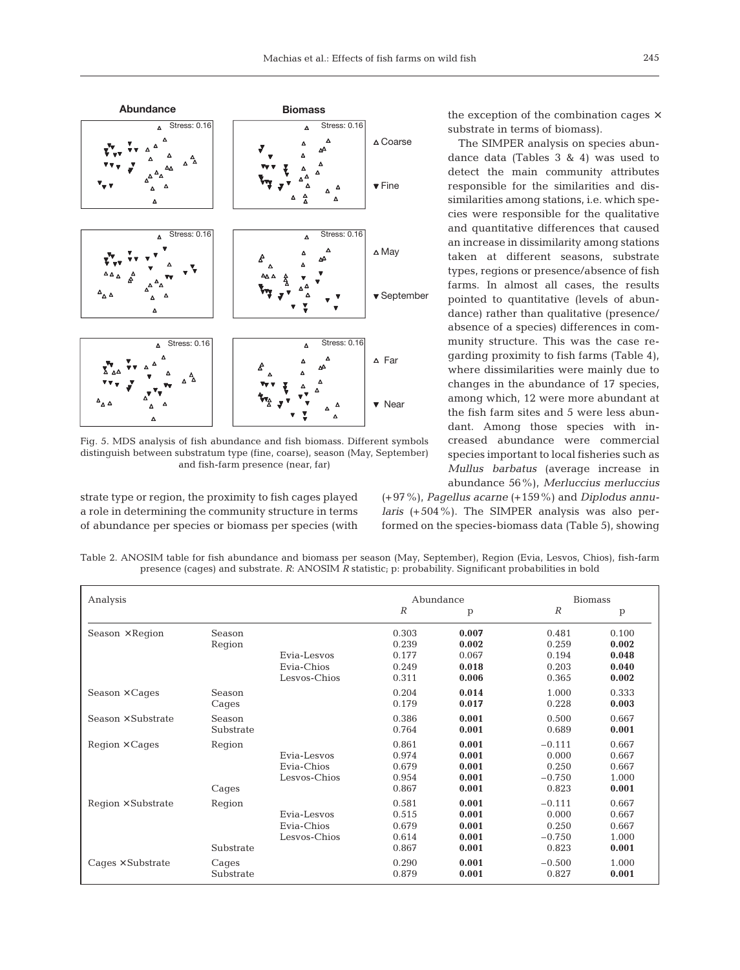

Fig. 5. MDS analysis of fish abundance and fish biomass. Different symbols distinguish between substratum type (fine, coarse), season (May, September) and fish-farm presence (near, far)

strate type or region, the proximity to fish cages played a role in determining the community structure in terms of abundance per species or biomass per species (with

the exception of the combination cages  $\times$ substrate in terms of biomass).

The SIMPER analysis on species abundance data (Tables 3 & 4) was used to detect the main community attributes responsible for the similarities and dissimilarities among stations, i.e. which species were responsible for the qualitative and quantitative differences that caused an increase in dissimilarity among stations taken at different seasons, substrate types, regions or presence/absence of fish farms. In almost all cases, the results pointed to quantitative (levels of abundance) rather than qualitative (presence/ absence of a species) differences in community structure. This was the case regarding proximity to fish farms (Table 4), where dissimilarities were mainly due to changes in the abundance of 17 species, among which, 12 were more abundant at the fish farm sites and 5 were less abundant. Among those species with increased abundance were commercial species important to local fisheries such as *Mullus barbatus* (average increase in abundance 56%), *Merluccius merluccius*

(+97%), *Pagellus acarne* (+159%) and *Diplodus annularis* (+504%). The SIMPER analysis was also performed on the species-biomass data (Table 5), showing

Table 2. ANOSIM table for fish abundance and biomass per season (May, September), Region (Evia, Lesvos, Chios), fish-farm presence (cages) and substrate. *R*: ANOSIM *R* statistic; p: probability. Significant probabilities in bold

| Analysis                  |                     | Abundance                                 |                                           | <b>Biomass</b>                            |                                                 |                                           |
|---------------------------|---------------------|-------------------------------------------|-------------------------------------------|-------------------------------------------|-------------------------------------------------|-------------------------------------------|
|                           |                     |                                           | $\boldsymbol{R}$                          | $\mathbf{p}$                              | $\boldsymbol{R}$                                | $\mathbf{p}$                              |
| Season $\times$ Region    | Season<br>Region    | Evia-Lesvos<br>Evia-Chios<br>Lesvos-Chios | 0.303<br>0.239<br>0.177<br>0.249<br>0.311 | 0.007<br>0.002<br>0.067<br>0.018<br>0.006 | 0.481<br>0.259<br>0.194<br>0.203<br>0.365       | 0.100<br>0.002<br>0.048<br>0.040<br>0.002 |
| $Season \times Cages$     | Season<br>Cages     |                                           | 0.204<br>0.179                            | 0.014<br>0.017                            | 1.000<br>0.228                                  | 0.333<br>0.003                            |
| Season $\times$ Substrate | Season<br>Substrate |                                           | 0.386<br>0.764                            | 0.001<br>0.001                            | 0.500<br>0.689                                  | 0.667<br>0.001                            |
| $Region \times Cages$     | Region<br>Cages     | Evia-Lesvos<br>Evia-Chios<br>Lesvos-Chios | 0.861<br>0.974<br>0.679<br>0.954<br>0.867 | 0.001<br>0.001<br>0.001<br>0.001<br>0.001 | $-0.111$<br>0.000<br>0.250<br>$-0.750$<br>0.823 | 0.667<br>0.667<br>0.667<br>1.000<br>0.001 |
| $Region \times Substrate$ | Region<br>Substrate | Evia-Lesvos<br>Evia-Chios<br>Lesvos-Chios | 0.581<br>0.515<br>0.679<br>0.614<br>0.867 | 0.001<br>0.001<br>0.001<br>0.001<br>0.001 | $-0.111$<br>0.000<br>0.250<br>$-0.750$<br>0.823 | 0.667<br>0.667<br>0.667<br>1.000<br>0.001 |
| $Caqes \times Substrate$  | Cages<br>Substrate  |                                           | 0.290<br>0.879                            | 0.001<br>0.001                            | $-0.500$<br>0.827                               | 1.000<br>0.001                            |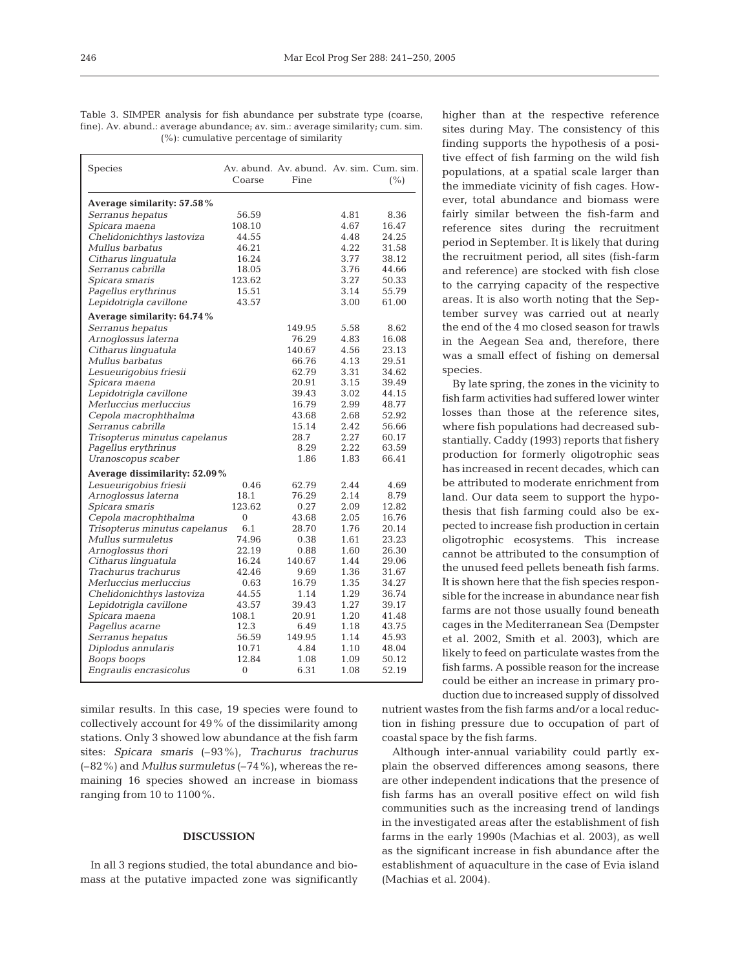Table 3. SIMPER analysis for fish abundance per substrate type (coarse, fine). Av. abund.: average abundance; av. sim.: average similarity; cum. sim. (%): cumulative percentage of similarity

| Species                       | Coarse       | Av. abund. Av. abund. Av. sim. Cum. sim.<br>Fine |      | (%)   |
|-------------------------------|--------------|--------------------------------------------------|------|-------|
| Average similarity: 57.58%    |              |                                                  |      |       |
| Serranus hepatus              | 56.59        |                                                  | 4.81 | 8.36  |
| Spicara maena                 | 108.10       |                                                  | 4.67 | 16.47 |
| Chelidonichthys lastoviza     | 44.55        |                                                  | 4.48 | 24.25 |
| Mullus barbatus               | 46.21        |                                                  | 4.22 | 31.58 |
| Citharus linguatula           | 16.24        |                                                  | 3.77 | 38.12 |
| Serranus cabrilla             | 18.05        |                                                  | 3.76 | 44.66 |
| Spicara smaris                | 123.62       |                                                  | 3.27 | 50.33 |
| Pagellus erythrinus           | 15.51        |                                                  | 3.14 | 55.79 |
| Lepidotrigla cavillone        | 43.57        |                                                  | 3.00 | 61.00 |
| Average similarity: 64.74%    |              |                                                  |      |       |
| Serranus hepatus              |              | 149.95                                           | 5.58 | 8.62  |
| Arnoglossus laterna           |              | 76.29                                            | 4.83 | 16.08 |
| Citharus linguatula           |              | 140.67                                           | 4.56 | 23.13 |
| Mullus barbatus               |              | 66.76                                            | 4.13 | 29.51 |
| Lesueurigobius friesii        |              | 62.79                                            | 3.31 | 34.62 |
| Spicara maena                 |              | 20.91                                            | 3.15 | 39.49 |
| Lepidotrigla cavillone        |              | 39.43                                            | 3.02 | 44.15 |
| Merluccius merluccius         |              | 16.79                                            | 2.99 | 48.77 |
| Cepola macrophthalma          |              | 43.68                                            | 2.68 | 52.92 |
| Serranus cabrilla             |              | 15.14                                            | 2.42 | 56.66 |
| Trisopterus minutus capelanus |              | 28.7                                             | 2.27 | 60.17 |
| Pagellus erythrinus           |              | 8.29                                             | 2.22 | 63.59 |
| Uranoscopus scaber            |              | 1.86                                             | 1.83 | 66.41 |
| Average dissimilarity: 52.09% |              |                                                  |      |       |
| Lesueurigobius friesii        | 0.46         | 62.79                                            | 2.44 | 4.69  |
| Arnoglossus laterna           | 18.1         | 76.29                                            | 2.14 | 8.79  |
| Spicara smaris                | 123.62       | 0.27                                             | 2.09 | 12.82 |
| Cepola macrophthalma          | $\Omega$     | 43.68                                            | 2.05 | 16.76 |
| Trisopterus minutus capelanus | 6.1          | 28.70                                            | 1.76 | 20.14 |
| Mullus surmuletus             | 74.96        | 0.38                                             | 1.61 | 23.23 |
| Arnoglossus thori             | 22.19        | 0.88                                             | 1.60 | 26.30 |
| Citharus linguatula           | 16.24        | 140.67                                           | 1.44 | 29.06 |
| Trachurus trachurus           | 42.46        | 9.69                                             | 1.36 | 31.67 |
| Merluccius merluccius         | 0.63         | 16.79                                            | 1.35 | 34.27 |
| Chelidonichthys lastoviza     | 44.55        | 1.14                                             | 1.29 | 36.74 |
| Lepidotrigla cavillone        | 43.57        | 39.43                                            | 1.27 | 39.17 |
| Spicara maena                 | 108.1        | 20.91                                            | 1.20 | 41.48 |
| Pagellus acarne               | 12.3         | 6.49                                             | 1.18 | 43.75 |
| Serranus hepatus              | 56.59        | 149.95                                           | 1.14 | 45.93 |
| Diplodus annularis            | 10.71        | 4.84                                             | 1.10 | 48.04 |
| Boops boops                   | 12.84        | 1.08                                             | 1.09 | 50.12 |
| Engraulis encrasicolus        | $\mathbf{0}$ | 6.31                                             | 1.08 | 52.19 |

similar results. In this case, 19 species were found to collectively account for 49% of the dissimilarity among stations. Only 3 showed low abundance at the fish farm sites: *Spicara smaris* (–93%), *Trachurus trachurus* (–82%) and *Mullus surmuletus* (–74%), whereas the remaining 16 species showed an increase in biomass ranging from 10 to 1100%.

## **DISCUSSION**

In all 3 regions studied, the total abundance and biomass at the putative impacted zone was significantly higher than at the respective reference sites during May. The consistency of this finding supports the hypothesis of a positive effect of fish farming on the wild fish populations, at a spatial scale larger than the immediate vicinity of fish cages. However, total abundance and biomass were fairly similar between the fish-farm and reference sites during the recruitment period in September. It is likely that during the recruitment period, all sites (fish-farm and reference) are stocked with fish close to the carrying capacity of the respective areas. It is also worth noting that the September survey was carried out at nearly the end of the 4 mo closed season for trawls in the Aegean Sea and, therefore, there was a small effect of fishing on demersal species.

By late spring, the zones in the vicinity to fish farm activities had suffered lower winter losses than those at the reference sites, where fish populations had decreased substantially. Caddy (1993) reports that fishery production for formerly oligotrophic seas has increased in recent decades, which can be attributed to moderate enrichment from land. Our data seem to support the hypothesis that fish farming could also be expected to increase fish production in certain oligotrophic ecosystems. This increase cannot be attributed to the consumption of the unused feed pellets beneath fish farms. It is shown here that the fish species responsible for the increase in abundance near fish farms are not those usually found beneath cages in the Mediterranean Sea (Dempster et al. 2002, Smith et al. 2003), which are likely to feed on particulate wastes from the fish farms. A possible reason for the increase could be either an increase in primary production due to increased supply of dissolved

nutrient wastes from the fish farms and/or a local reduction in fishing pressure due to occupation of part of coastal space by the fish farms.

Although inter-annual variability could partly explain the observed differences among seasons, there are other independent indications that the presence of fish farms has an overall positive effect on wild fish communities such as the increasing trend of landings in the investigated areas after the establishment of fish farms in the early 1990s (Machias et al. 2003), as well as the significant increase in fish abundance after the establishment of aquaculture in the case of Evia island (Machias et al. 2004).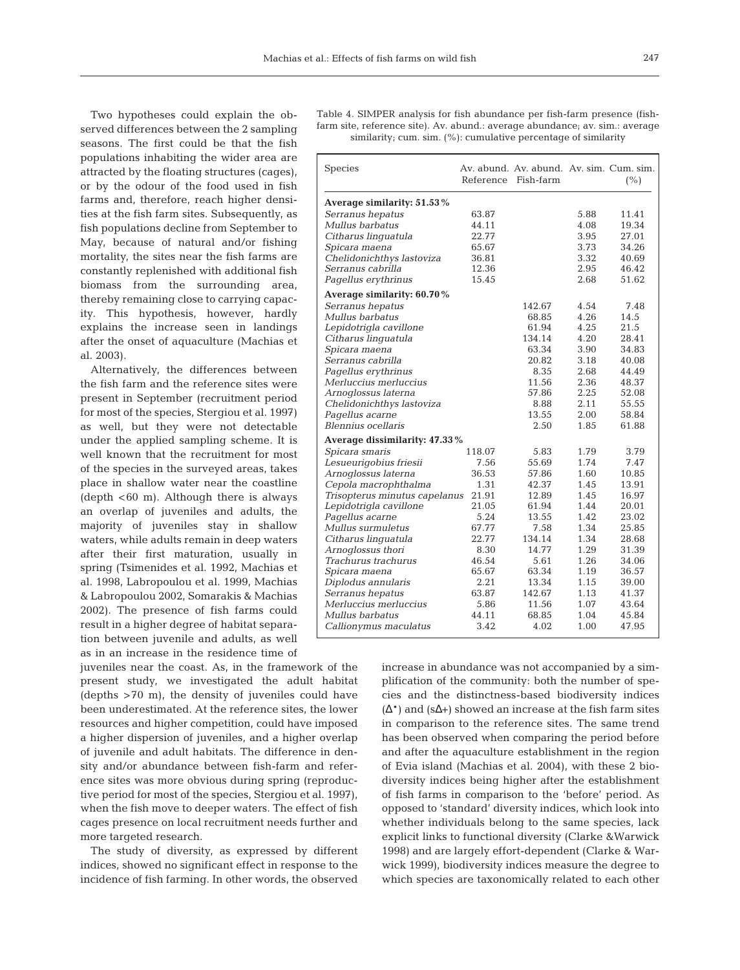Two hypotheses could explain the observed differences between the 2 sampling seasons. The first could be that the fish populations inhabiting the wider area are attracted by the floating structures (cages), or by the odour of the food used in fish farms and, therefore, reach higher densities at the fish farm sites. Subsequently, as fish populations decline from September to May, because of natural and/or fishing mortality, the sites near the fish farms are constantly replenished with additional fish biomass from the surrounding area, thereby remaining close to carrying capacity. This hypothesis, however, hardly explains the increase seen in landings after the onset of aquaculture (Machias et al. 2003).

Alternatively, the differences between the fish farm and the reference sites were present in September (recruitment period for most of the species, Stergiou et al. 1997) as well, but they were not detectable under the applied sampling scheme. It is well known that the recruitment for most of the species in the surveyed areas, takes place in shallow water near the coastline (depth  $<60$  m). Although there is always an overlap of juveniles and adults, the majority of juveniles stay in shallow waters, while adults remain in deep waters after their first maturation, usually in spring (Tsimenides et al. 1992, Machias et al. 1998, Labropoulou et al. 1999, Machias & Labropoulou 2002, Somarakis & Machias 2002). The presence of fish farms could result in a higher degree of habitat separation between juvenile and adults, as well as in an increase in the residence time of

juveniles near the coast. As, in the framework of the present study, we investigated the adult habitat (depths >70 m), the density of juveniles could have been underestimated. At the reference sites, the lower resources and higher competition, could have imposed a higher dispersion of juveniles, and a higher overlap of juvenile and adult habitats. The difference in density and/or abundance between fish-farm and reference sites was more obvious during spring (reproductive period for most of the species, Stergiou et al. 1997), when the fish move to deeper waters. The effect of fish cages presence on local recruitment needs further and more targeted research.

The study of diversity, as expressed by different indices, showed no significant effect in response to the incidence of fish farming. In other words, the observed

Table 4. SIMPER analysis for fish abundance per fish-farm presence (fishfarm site, reference site). Av. abund.: average abundance; av. sim.: average similarity; cum. sim. (%): cumulative percentage of similarity

| <b>Species</b>                |        | Av. abund. Av. abund. Av. sim. Cum. sim.<br>Reference Fish-farm |      | (%)   |
|-------------------------------|--------|-----------------------------------------------------------------|------|-------|
| Average similarity: 51.53%    |        |                                                                 |      |       |
| Serranus hepatus              | 63.87  |                                                                 | 5.88 | 11.41 |
| Mullus barbatus               | 44.11  |                                                                 | 4.08 | 19.34 |
| Citharus linguatula           | 22.77  |                                                                 | 3.95 | 27.01 |
| Spicara maena                 | 65.67  |                                                                 | 3.73 | 34.26 |
| Chelidonichthys lastoviza     | 36.81  |                                                                 | 3.32 | 40.69 |
| Serranus cabrilla             | 12.36  |                                                                 | 2.95 | 46.42 |
| Pagellus erythrinus           | 15.45  |                                                                 | 2.68 | 51.62 |
| Average similarity: 60.70%    |        |                                                                 |      |       |
| Serranus hepatus              |        | 142.67                                                          | 4.54 | 7.48  |
| Mullus barbatus               |        | 68.85                                                           | 4.26 | 14.5  |
| Lepidotrigla cavillone        |        | 61.94                                                           | 4.25 | 21.5  |
| Citharus linguatula           |        | 134.14                                                          | 4.20 | 28.41 |
| Spicara maena                 |        | 63.34                                                           | 3.90 | 34.83 |
| Serranus cabrilla             |        | 20.82                                                           | 3.18 | 40.08 |
| Pagellus erythrinus           |        | 8.35                                                            | 2.68 | 44.49 |
| Merluccius merluccius         |        | 11.56                                                           | 2.36 | 48.37 |
| Arnoglossus laterna           |        | 57.86                                                           | 2.25 | 52.08 |
| Chelidonichthys lastoviza     |        | 8.88                                                            | 2.11 | 55.55 |
| Pagellus acarne               |        | 13.55                                                           | 2.00 | 58.84 |
| Blennius ocellaris            |        | 2.50                                                            | 1.85 | 61.88 |
| Average dissimilarity: 47.33% |        |                                                                 |      |       |
| Spicara smaris                | 118.07 | 5.83                                                            | 1.79 | 3.79  |
| Lesueurigobius friesii        | 7.56   | 55.69                                                           | 1.74 | 7.47  |
| Arnoglossus laterna           | 36.53  | 57.86                                                           | 1.60 | 10.85 |
| Cepola macrophthalma          | 1.31   | 42.37                                                           | 1.45 | 13.91 |
| Trisopterus minutus capelanus | 21.91  | 12.89                                                           | 1.45 | 16.97 |
| Lepidotrigla cavillone        | 21.05  | 61.94                                                           | 1.44 | 20.01 |
| Pagellus acarne               | 5.24   | 13.55                                                           | 1.42 | 23.02 |
| Mullus surmuletus             | 67.77  | 7.58                                                            | 1.34 | 25.85 |
| Citharus linguatula           | 22.77  | 134.14                                                          | 1.34 | 28.68 |
| Arnoglossus thori             | 8.30   | 14.77                                                           | 1.29 | 31.39 |
| Trachurus trachurus           | 46.54  | 5.61                                                            | 1.26 | 34.06 |
| Spicara maena                 | 65.67  | 63.34                                                           | 1.19 | 36.57 |
| Diplodus annularis            | 2.21   | 13.34                                                           | 1.15 | 39.00 |
| Serranus hepatus              | 63.87  | 142.67                                                          | 1.13 | 41.37 |
| Merluccius merluccius         | 5.86   | 11.56                                                           | 1.07 | 43.64 |
| Mullus barbatus               | 44.11  | 68.85                                                           | 1.04 | 45.84 |
| Callionymus maculatus         | 3.42   | 4.02                                                            | 1.00 | 47.95 |

increase in abundance was not accompanied by a simplification of the community: both the number of species and the distinctness-based biodiversity indices  $(\Delta^*)$  and  $(s\Delta^+)$  showed an increase at the fish farm sites in comparison to the reference sites. The same trend has been observed when comparing the period before and after the aquaculture establishment in the region of Evia island (Machias et al. 2004), with these 2 biodiversity indices being higher after the establishment of fish farms in comparison to the 'before' period. As opposed to 'standard' diversity indices, which look into whether individuals belong to the same species, lack explicit links to functional diversity (Clarke &Warwick 1998) and are largely effort-dependent (Clarke & Warwick 1999), biodiversity indices measure the degree to which species are taxonomically related to each other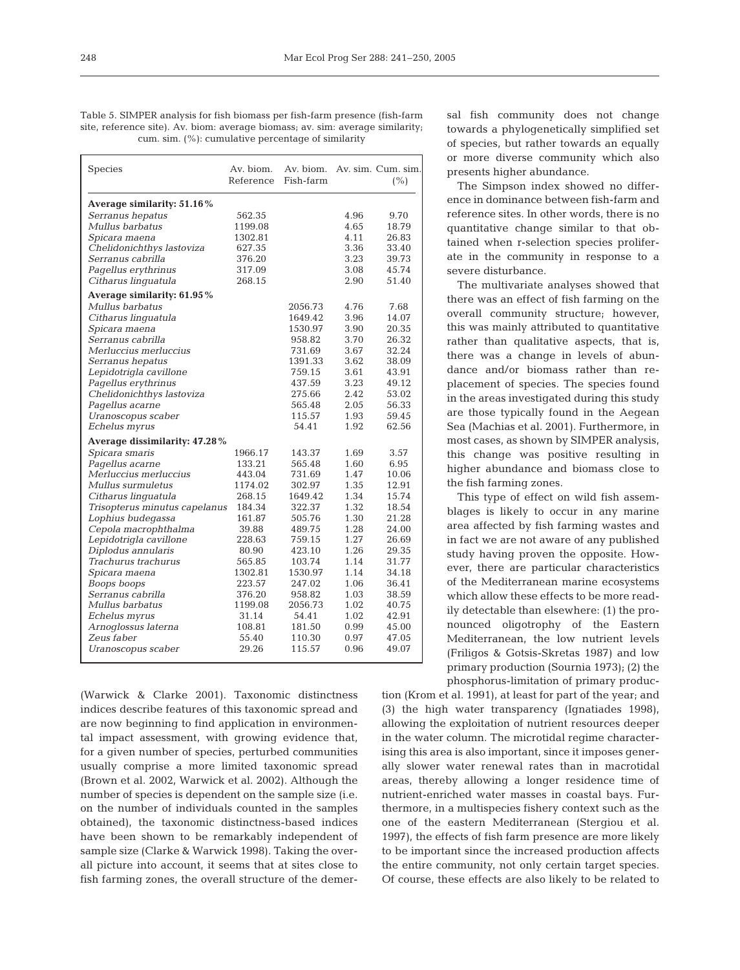248

Table 5. SIMPER analysis for fish biomass per fish-farm presence (fish-farm site, reference site). Av. biom: average biomass; av. sim: average similarity; cum. sim. (%): cumulative percentage of similarity

| <b>Species</b>                | Av. biom.<br>Reference | Av. biom.<br>Fish-farm |      | Av. sim. Cum. sim.<br>(%) |
|-------------------------------|------------------------|------------------------|------|---------------------------|
| Average similarity: 51.16%    |                        |                        |      |                           |
| Serranus hepatus              | 562.35                 |                        | 4.96 | 9.70                      |
| Mullus barbatus               | 1199.08                |                        | 4.65 | 18.79                     |
| Spicara maena                 | 1302.81                |                        | 4.11 | 26.83                     |
| Chelidonichthys lastoviza     | 627.35                 |                        | 3.36 | 33.40                     |
| Serranus cabrilla             | 376.20                 |                        | 3.23 | 39.73                     |
| Pagellus erythrinus           | 317.09                 |                        | 3.08 | 45.74                     |
| Citharus linguatula           | 268.15                 |                        | 2.90 | 51.40                     |
| Average similarity: 61.95%    |                        |                        |      |                           |
| Mullus barbatus               |                        | 2056.73                | 4.76 | 7.68                      |
| Citharus linguatula           |                        | 1649.42                | 3.96 | 14.07                     |
| Spicara maena                 |                        | 1530.97                | 3.90 | 20.35                     |
| Serranus cabrilla             |                        | 958.82                 | 3.70 | 26.32                     |
| Merluccius merluccius         |                        | 731.69                 | 3.67 | 32.24                     |
| Serranus hepatus              |                        | 1391.33                | 3.62 | 38.09                     |
| Lepidotrigla cavillone        |                        | 759.15                 | 3.61 | 43.91                     |
| Pagellus erythrinus           |                        | 437.59                 | 3.23 | 49.12                     |
| Chelidonichthys lastoviza     |                        | 275.66                 | 2.42 | 53.02                     |
| Pagellus acarne               |                        | 565.48                 | 2.05 | 56.33                     |
| Uranoscopus scaber            |                        | 115.57                 | 1.93 | 59.45                     |
| Echelus myrus                 |                        | 54.41                  | 1.92 | 62.56                     |
| Average dissimilarity: 47.28% |                        |                        |      |                           |
| Spicara smaris                | 1966.17                | 143.37                 | 1.69 | 3.57                      |
| Pagellus acarne               | 133.21                 | 565.48                 | 1.60 | 6.95                      |
| Merluccius merluccius         | 443.04                 | 731.69                 | 1.47 | 10.06                     |
| Mullus surmuletus             | 1174.02                | 302.97                 | 1.35 | 12.91                     |
| Citharus linguatula           | 268.15                 | 1649.42                | 1.34 | 15.74                     |
| Trisopterus minutus capelanus | 184.34                 | 322.37                 | 1.32 | 18.54                     |
| Lophius budegassa             | 161.87                 | 505.76                 | 1.30 | 21.28                     |
| Cepola macrophthalma          | 39.88                  | 489.75                 | 1.28 | 24.00                     |
| Lepidotrigla cavillone        | 228.63                 | 759.15                 | 1.27 | 26.69                     |
| Diplodus annularis            | 80.90                  | 423.10                 | 1.26 | 29.35                     |
| Trachurus trachurus           | 565.85                 | 103.74                 | 1.14 | 31.77                     |
| Spicara maena                 | 1302.81                | 1530.97                | 1.14 | 34.18                     |
| Boops boops                   | 223.57                 | 247.02                 | 1.06 | 36.41                     |
| Serranus cabrilla             | 376.20                 | 958.82                 | 1.03 | 38.59                     |
| Mullus barbatus               | 1199.08                | 2056.73                | 1.02 | 40.75                     |
| Echelus myrus                 | 31.14                  | 54.41                  | 1.02 | 42.91                     |
| Arnoglossus laterna           | 108.81                 | 181.50                 | 0.99 | 45.00                     |
| Zeus faber                    | 55.40                  | 110.30                 | 0.97 | 47.05                     |
| Uranoscopus scaber            | 29.26                  | 115.57                 | 0.96 | 49.07                     |
|                               |                        |                        |      |                           |

(Warwick & Clarke 2001). Taxonomic distinctness indices describe features of this taxonomic spread and are now beginning to find application in environmental impact assessment, with growing evidence that, for a given number of species, perturbed communities usually comprise a more limited taxonomic spread (Brown et al. 2002, Warwick et al. 2002). Although the number of species is dependent on the sample size (i.e. on the number of individuals counted in the samples obtained), the taxonomic distinctness-based indices have been shown to be remarkably independent of sample size (Clarke & Warwick 1998). Taking the overall picture into account, it seems that at sites close to fish farming zones, the overall structure of the demersal fish community does not change towards a phylogenetically simplified set of species, but rather towards an equally or more diverse community which also presents higher abundance.

The Simpson index showed no difference in dominance between fish-farm and reference sites. In other words, there is no quantitative change similar to that obtained when r-selection species proliferate in the community in response to a severe disturbance.

The multivariate analyses showed that there was an effect of fish farming on the overall community structure; however, this was mainly attributed to quantitative rather than qualitative aspects, that is, there was a change in levels of abundance and/or biomass rather than replacement of species. The species found in the areas investigated during this study are those typically found in the Aegean Sea (Machias et al. 2001). Furthermore, in most cases, as shown by SIMPER analysis, this change was positive resulting in higher abundance and biomass close to the fish farming zones.

This type of effect on wild fish assemblages is likely to occur in any marine area affected by fish farming wastes and in fact we are not aware of any published study having proven the opposite. However, there are particular characteristics of the Mediterranean marine ecosystems which allow these effects to be more readily detectable than elsewhere: (1) the pronounced oligotrophy of the Eastern Mediterranean, the low nutrient levels (Friligos & Gotsis-Skretas 1987) and low primary production (Sournia 1973); (2) the phosphorus-limitation of primary produc-

tion (Krom et al. 1991), at least for part of the year; and (3) the high water transparency (Ignatiades 1998), allowing the exploitation of nutrient resources deeper in the water column. The microtidal regime characterising this area is also important, since it imposes generally slower water renewal rates than in macrotidal areas, thereby allowing a longer residence time of nutrient-enriched water masses in coastal bays. Furthermore, in a multispecies fishery context such as the one of the eastern Mediterranean (Stergiou et al. 1997), the effects of fish farm presence are more likely to be important since the increased production affects the entire community, not only certain target species. Of course, these effects are also likely to be related to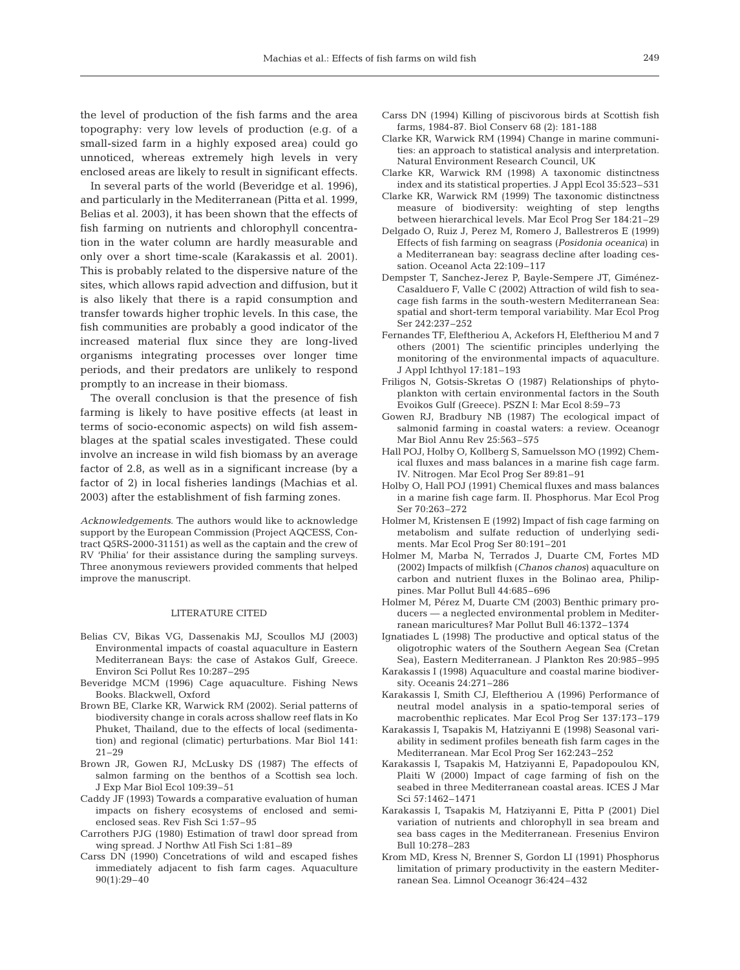the level of production of the fish farms and the area topography: very low levels of production (e.g. of a small-sized farm in a highly exposed area) could go unnoticed, whereas extremely high levels in very enclosed areas are likely to result in significant effects.

In several parts of the world (Beveridge et al. 1996), and particularly in the Mediterranean (Pitta et al. 1999, Belias et al. 2003), it has been shown that the effects of fish farming on nutrients and chlorophyll concentration in the water column are hardly measurable and only over a short time-scale (Karakassis et al. 2001). This is probably related to the dispersive nature of the sites, which allows rapid advection and diffusion, but it is also likely that there is a rapid consumption and transfer towards higher trophic levels. In this case, the fish communities are probably a good indicator of the increased material flux since they are long-lived organisms integrating processes over longer time periods, and their predators are unlikely to respond promptly to an increase in their biomass.

The overall conclusion is that the presence of fish farming is likely to have positive effects (at least in terms of socio-economic aspects) on wild fish assemblages at the spatial scales investigated. These could involve an increase in wild fish biomass by an average factor of 2.8, as well as in a significant increase (by a factor of 2) in local fisheries landings (Machias et al. 2003) after the establishment of fish farming zones.

*Acknowledgements*. The authors would like to acknowledge support by the European Commission (Project AQCESS, Contract Q5RS-2000-31151) as well as the captain and the crew of RV 'Philia' for their assistance during the sampling surveys. Three anonymous reviewers provided comments that helped improve the manuscript.

#### LITERATURE CITED

- Belias CV, Bikas VG, Dassenakis MJ, Scoullos MJ (2003) Environmental impacts of coastal aquaculture in Eastern Mediterranean Bays: the case of Astakos Gulf, Greece. Environ Sci Pollut Res 10:287–295
- Beveridge MCM (1996) Cage aquaculture. Fishing News Books. Blackwell, Oxford
- Brown BE, Clarke KR, Warwick RM (2002). Serial patterns of biodiversity change in corals across shallow reef flats in Ko Phuket, Thailand, due to the effects of local (sedimentation) and regional (climatic) perturbations. Mar Biol 141: 21–29
- Brown JR, Gowen RJ, McLusky DS (1987) The effects of salmon farming on the benthos of a Scottish sea loch. J Exp Mar Biol Ecol 109:39–51
- Caddy JF (1993) Towards a comparative evaluation of human impacts on fishery ecosystems of enclosed and semienclosed seas. Rev Fish Sci 1:57–95
- Carrothers PJG (1980) Estimation of trawl door spread from wing spread. J Northw Atl Fish Sci 1:81–89
- Carss DN (1990) Concetrations of wild and escaped fishes immediately adjacent to fish farm cages. Aquaculture 90(1):29–40
- Carss DN (1994) Killing of piscivorous birds at Scottish fish farms, 1984-87. Biol Conserv 68 (2): 181-188
- Clarke KR, Warwick RM (1994) Change in marine communities: an approach to statistical analysis and interpretation. Natural Environment Research Council, UK
- Clarke KR, Warwick RM (1998) A taxonomic distinctness index and its statistical properties. J Appl Ecol 35:523–531
- Clarke KR, Warwick RM (1999) The taxonomic distinctness measure of biodiversity: weighting of step lengths between hierarchical levels. Mar Ecol Prog Ser 184:21–29
- Delgado O, Ruiz J, Perez M, Romero J, Ballestreros E (1999) Effects of fish farming on seagrass (*Posidonia oceanica*) in a Mediterranean bay: seagrass decline after loading cessation. Oceanol Acta 22:109–117
- Dempster T, Sanchez-Jerez P, Bayle-Sempere JT, Giménez-Casalduero F, Valle C (2002) Attraction of wild fish to seacage fish farms in the south-western Mediterranean Sea: spatial and short-term temporal variability. Mar Ecol Prog Ser 242:237–252
- Fernandes TF, Eleftheriou A, Ackefors H, Eleftheriou M and 7 others (2001) The scientific principles underlying the monitoring of the environmental impacts of aquaculture. J Appl Ichthyol 17:181–193
- Friligos N, Gotsis-Skretas O (1987) Relationships of phytoplankton with certain environmental factors in the South Evoikos Gulf (Greece). PSZN I: Mar Ecol 8:59–73
- Gowen RJ, Bradbury NB (1987) The ecological impact of salmonid farming in coastal waters: a review. Oceanogr Mar Biol Annu Rev 25:563–575
- Hall POJ, Holby O, Kollberg S, Samuelsson MO (1992) Chemical fluxes and mass balances in a marine fish cage farm. IV. Nitrogen. Mar Ecol Prog Ser 89:81–91
- Holby O, Hall POJ (1991) Chemical fluxes and mass balances in a marine fish cage farm. II. Phosphorus. Mar Ecol Prog Ser 70:263–272
- Holmer M, Kristensen E (1992) Impact of fish cage farming on metabolism and sulfate reduction of underlying sediments. Mar Ecol Prog Ser 80:191–201
- Holmer M, Marba N, Terrados J, Duarte CM, Fortes MD (2002) Impacts of milkfish (*Chanos chanos*) aquaculture on carbon and nutrient fluxes in the Bolinao area, Philippines. Mar Pollut Bull 44:685–696
- Holmer M, Pérez M, Duarte CM (2003) Benthic primary producers — a neglected environmental problem in Mediterranean maricultures? Mar Pollut Bull 46:1372–1374
- Ignatiades L (1998) The productive and optical status of the oligotrophic waters of the Southern Aegean Sea (Cretan Sea), Eastern Mediterranean. J Plankton Res 20:985–995
- Karakassis I (1998) Aquaculture and coastal marine biodiversity. Oceanis 24:271–286
- Karakassis I, Smith CJ, Eleftheriou A (1996) Performance of neutral model analysis in a spatio-temporal series of macrobenthic replicates. Mar Ecol Prog Ser 137:173–179
- Karakassis I, Tsapakis M, Hatziyanni E (1998) Seasonal variability in sediment profiles beneath fish farm cages in the Mediterranean. Mar Ecol Prog Ser 162:243–252
- Karakassis I, Tsapakis M, Hatziyanni E, Papadopoulou KN, Plaiti W (2000) Impact of cage farming of fish on the seabed in three Mediterranean coastal areas. ICES J Mar Sci 57:1462–1471
- Karakassis I, Tsapakis M, Hatziyanni E, Pitta P (2001) Diel variation of nutrients and chlorophyll in sea bream and sea bass cages in the Mediterranean. Fresenius Environ Bull 10:278–283
- Krom MD, Kress N, Brenner S, Gordon LI (1991) Phosphorus limitation of primary productivity in the eastern Mediterranean Sea. Limnol Oceanogr 36:424–432